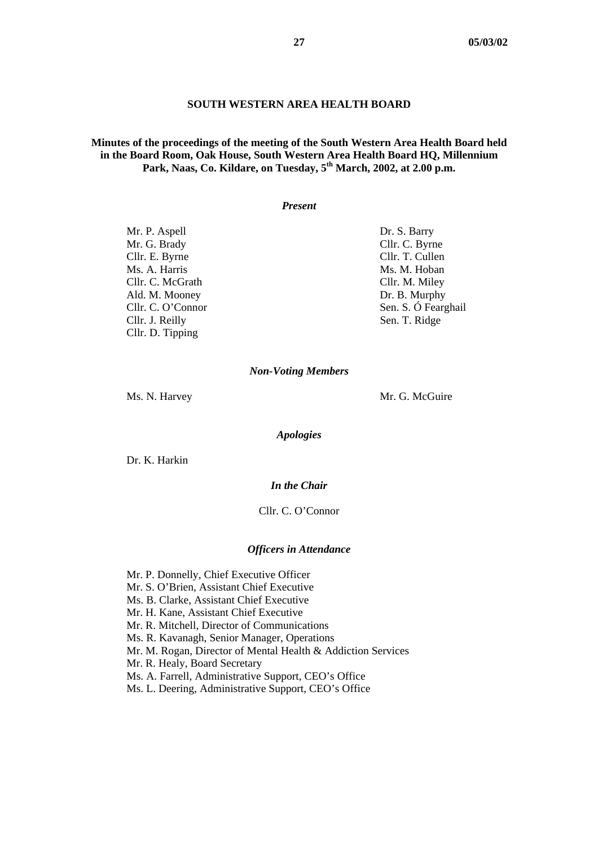### **SOUTH WESTERN AREA HEALTH BOARD**

## **Minutes of the proceedings of the meeting of the South Western Area Health Board held in the Board Room, Oak House, South Western Area Health Board HQ, Millennium Park, Naas, Co. Kildare, on Tuesday, 5th March, 2002, at 2.00 p.m.**

#### *Present*

Mr. P. Aspell Dr. S. Barry Mr. G. Brady Cllr. C. Byrne Cllr. E. Byrne Cllr. T. Cullen Ms. A. Harris Ms. M. Hoban Cllr. C. McGrath Cllr. M. Miley Ald. M. Mooney Dr. B. Murphy Cllr. J. Reilly Sen. T. Ridge Cllr. D. Tipping

Cllr. C. O'Connor Sen. S. Ó Fearghail

#### *Non-Voting Members*

Ms. N. Harvey Mr. G. McGuire

*Apologies* 

Dr. K. Harkin

#### *In the Chair*

Cllr. C. O'Connor

#### *Officers in Attendance*

Mr. P. Donnelly, Chief Executive Officer

- Mr. S. O'Brien, Assistant Chief Executive
- Ms. B. Clarke, Assistant Chief Executive
- Mr. H. Kane, Assistant Chief Executive
- Mr. R. Mitchell, Director of Communications
- Ms. R. Kavanagh, Senior Manager, Operations
- Mr. M. Rogan, Director of Mental Health & Addiction Services
- Mr. R. Healy, Board Secretary
- Ms. A. Farrell, Administrative Support, CEO's Office
- Ms. L. Deering, Administrative Support, CEO's Office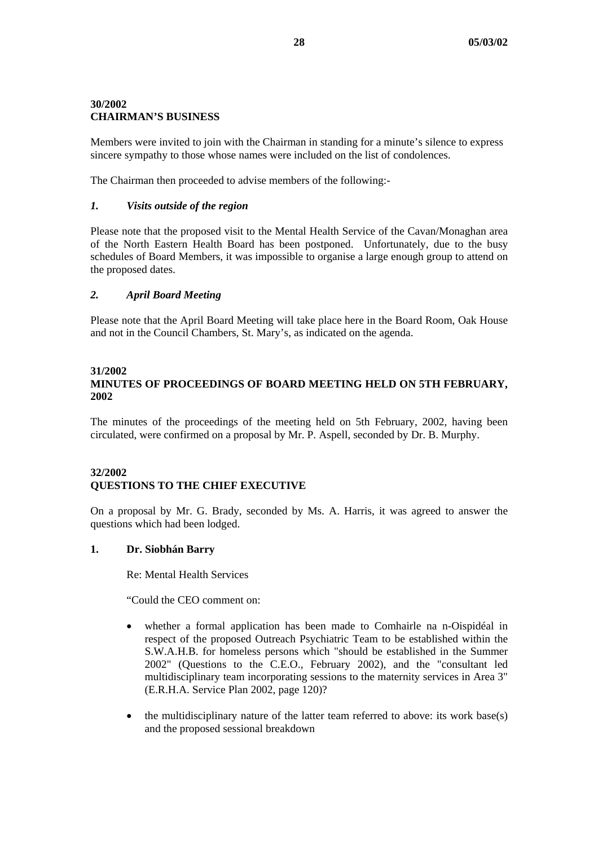# **30/2002 CHAIRMAN'S BUSINESS**

Members were invited to join with the Chairman in standing for a minute's silence to express sincere sympathy to those whose names were included on the list of condolences.

The Chairman then proceeded to advise members of the following:-

### *1. Visits outside of the region*

Please note that the proposed visit to the Mental Health Service of the Cavan/Monaghan area of the North Eastern Health Board has been postponed. Unfortunately, due to the busy schedules of Board Members, it was impossible to organise a large enough group to attend on the proposed dates.

### *2. April Board Meeting*

Please note that the April Board Meeting will take place here in the Board Room, Oak House and not in the Council Chambers, St. Mary's, as indicated on the agenda.

### **31/2002**

# **MINUTES OF PROCEEDINGS OF BOARD MEETING HELD ON 5TH FEBRUARY, 2002**

The minutes of the proceedings of the meeting held on 5th February, 2002, having been circulated, were confirmed on a proposal by Mr. P. Aspell, seconded by Dr. B. Murphy.

### **32/2002 QUESTIONS TO THE CHIEF EXECUTIVE**

On a proposal by Mr. G. Brady, seconded by Ms. A. Harris, it was agreed to answer the questions which had been lodged.

### **1. Dr. Siobhán Barry**

Re: Mental Health Services

"Could the CEO comment on:

- whether a formal application has been made to Comhairle na n-Oispidéal in respect of the proposed Outreach Psychiatric Team to be established within the S.W.A.H.B. for homeless persons which "should be established in the Summer 2002" (Questions to the C.E.O., February 2002), and the "consultant led multidisciplinary team incorporating sessions to the maternity services in Area 3" (E.R.H.A. Service Plan 2002, page 120)?
- the multidisciplinary nature of the latter team referred to above: its work base $(s)$ and the proposed sessional breakdown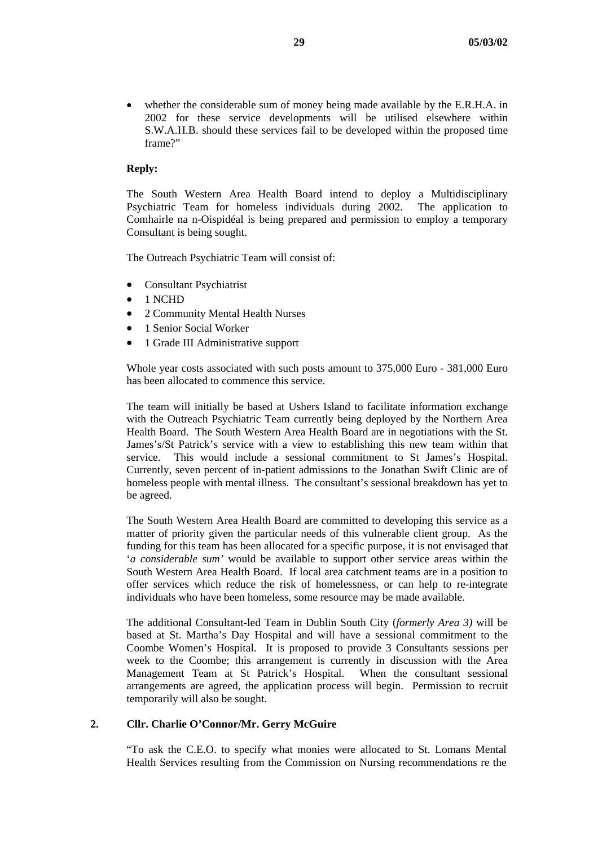• whether the considerable sum of money being made available by the E.R.H.A. in 2002 for these service developments will be utilised elsewhere within S.W.A.H.B. should these services fail to be developed within the proposed time frame?"

### **Reply:**

The South Western Area Health Board intend to deploy a Multidisciplinary Psychiatric Team for homeless individuals during 2002. The application to Comhairle na n-Oispidéal is being prepared and permission to employ a temporary Consultant is being sought.

The Outreach Psychiatric Team will consist of:

- Consultant Psychiatrist
- 1 NCHD
- 2 Community Mental Health Nurses
- 1 Senior Social Worker
- 1 Grade III Administrative support

Whole year costs associated with such posts amount to 375,000 Euro - 381,000 Euro has been allocated to commence this service.

The team will initially be based at Ushers Island to facilitate information exchange with the Outreach Psychiatric Team currently being deployed by the Northern Area Health Board. The South Western Area Health Board are in negotiations with the St. James's/St Patrick's service with a view to establishing this new team within that service. This would include a sessional commitment to St James's Hospital. Currently, seven percent of in-patient admissions to the Jonathan Swift Clinic are of homeless people with mental illness. The consultant's sessional breakdown has yet to be agreed.

The South Western Area Health Board are committed to developing this service as a matter of priority given the particular needs of this vulnerable client group. As the funding for this team has been allocated for a specific purpose, it is not envisaged that '*a considerable sum'* would be available to support other service areas within the South Western Area Health Board. If local area catchment teams are in a position to offer services which reduce the risk of homelessness, or can help to re-integrate individuals who have been homeless, some resource may be made available.

The additional Consultant-led Team in Dublin South City (*formerly Area 3)* will be based at St. Martha's Day Hospital and will have a sessional commitment to the Coombe Women's Hospital. It is proposed to provide 3 Consultants sessions per week to the Coombe; this arrangement is currently in discussion with the Area Management Team at St Patrick's Hospital. When the consultant sessional arrangements are agreed, the application process will begin. Permission to recruit temporarily will also be sought.

### **2. Cllr. Charlie O'Connor/Mr. Gerry McGuire**

"To ask the C.E.O. to specify what monies were allocated to St. Lomans Mental Health Services resulting from the Commission on Nursing recommendations re the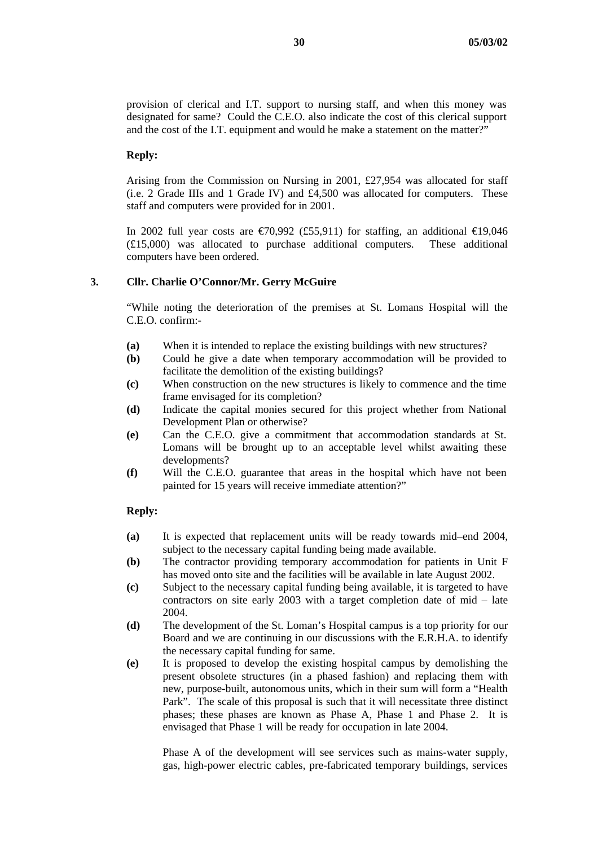provision of clerical and I.T. support to nursing staff, and when this money was designated for same? Could the C.E.O. also indicate the cost of this clerical support and the cost of the I.T. equipment and would he make a statement on the matter?"

#### **Reply:**

Arising from the Commission on Nursing in 2001, £27,954 was allocated for staff (i.e. 2 Grade IIIs and 1 Grade IV) and £4,500 was allocated for computers. These staff and computers were provided for in 2001.

In 2002 full year costs are  $\epsilon$ 70,992 (£55,911) for staffing, an additional  $\epsilon$ 19,046 (£15,000) was allocated to purchase additional computers. These additional computers have been ordered.

### **3. Cllr. Charlie O'Connor/Mr. Gerry McGuire**

"While noting the deterioration of the premises at St. Lomans Hospital will the C.E.O. confirm:-

- **(a)** When it is intended to replace the existing buildings with new structures?
- **(b)** Could he give a date when temporary accommodation will be provided to facilitate the demolition of the existing buildings?
- **(c)** When construction on the new structures is likely to commence and the time frame envisaged for its completion?
- **(d)** Indicate the capital monies secured for this project whether from National Development Plan or otherwise?
- **(e)** Can the C.E.O. give a commitment that accommodation standards at St. Lomans will be brought up to an acceptable level whilst awaiting these developments?
- **(f)** Will the C.E.O. guarantee that areas in the hospital which have not been painted for 15 years will receive immediate attention?"

#### **Reply:**

- **(a)** It is expected that replacement units will be ready towards mid–end 2004, subject to the necessary capital funding being made available.
- **(b)** The contractor providing temporary accommodation for patients in Unit F has moved onto site and the facilities will be available in late August 2002.
- **(c)** Subject to the necessary capital funding being available, it is targeted to have contractors on site early 2003 with a target completion date of mid – late 2004.
- **(d)** The development of the St. Loman's Hospital campus is a top priority for our Board and we are continuing in our discussions with the E.R.H.A. to identify the necessary capital funding for same.
- **(e)** It is proposed to develop the existing hospital campus by demolishing the present obsolete structures (in a phased fashion) and replacing them with new, purpose-built, autonomous units, which in their sum will form a "Health Park". The scale of this proposal is such that it will necessitate three distinct phases; these phases are known as Phase A, Phase 1 and Phase 2. It is envisaged that Phase 1 will be ready for occupation in late 2004.

Phase A of the development will see services such as mains-water supply, gas, high-power electric cables, pre-fabricated temporary buildings, services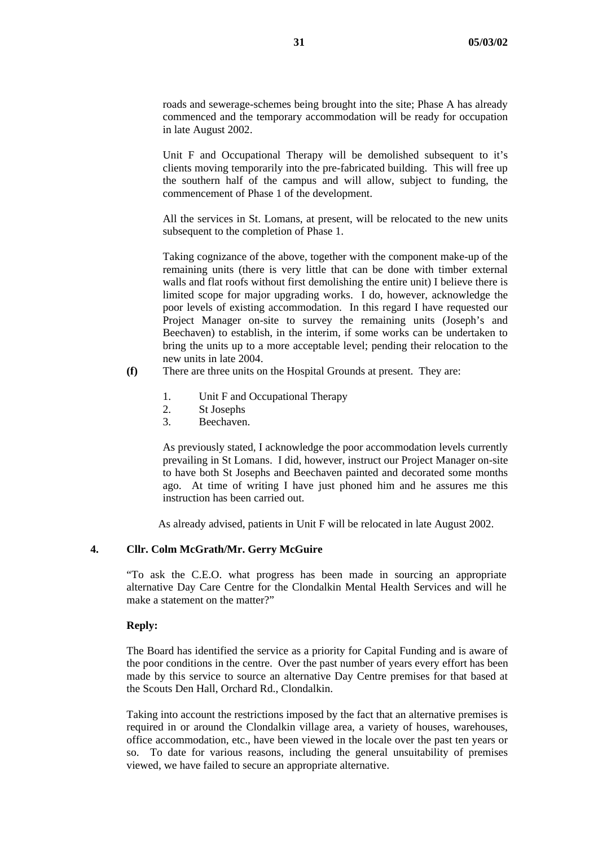roads and sewerage-schemes being brought into the site; Phase A has already commenced and the temporary accommodation will be ready for occupation in late August 2002.

Unit F and Occupational Therapy will be demolished subsequent to it's clients moving temporarily into the pre-fabricated building. This will free up the southern half of the campus and will allow, subject to funding, the commencement of Phase 1 of the development.

All the services in St. Lomans, at present, will be relocated to the new units subsequent to the completion of Phase 1.

Taking cognizance of the above, together with the component make-up of the remaining units (there is very little that can be done with timber external walls and flat roofs without first demolishing the entire unit) I believe there is limited scope for major upgrading works. I do, however, acknowledge the poor levels of existing accommodation. In this regard I have requested our Project Manager on-site to survey the remaining units (Joseph's and Beechaven) to establish, in the interim, if some works can be undertaken to bring the units up to a more acceptable level; pending their relocation to the new units in late 2004.

- **(f)** There are three units on the Hospital Grounds at present. They are:
	- 1. Unit F and Occupational Therapy
	- 2. St Josephs
	- 3. Beechaven.

As previously stated, I acknowledge the poor accommodation levels currently prevailing in St Lomans. I did, however, instruct our Project Manager on-site to have both St Josephs and Beechaven painted and decorated some months ago. At time of writing I have just phoned him and he assures me this instruction has been carried out.

As already advised, patients in Unit F will be relocated in late August 2002.

### **4. Cllr. Colm McGrath/Mr. Gerry McGuire**

"To ask the C.E.O. what progress has been made in sourcing an appropriate alternative Day Care Centre for the Clondalkin Mental Health Services and will he make a statement on the matter?"

#### **Reply:**

The Board has identified the service as a priority for Capital Funding and is aware of the poor conditions in the centre. Over the past number of years every effort has been made by this service to source an alternative Day Centre premises for that based at the Scouts Den Hall, Orchard Rd., Clondalkin.

Taking into account the restrictions imposed by the fact that an alternative premises is required in or around the Clondalkin village area, a variety of houses, warehouses, office accommodation, etc., have been viewed in the locale over the past ten years or so. To date for various reasons, including the general unsuitability of premises viewed, we have failed to secure an appropriate alternative.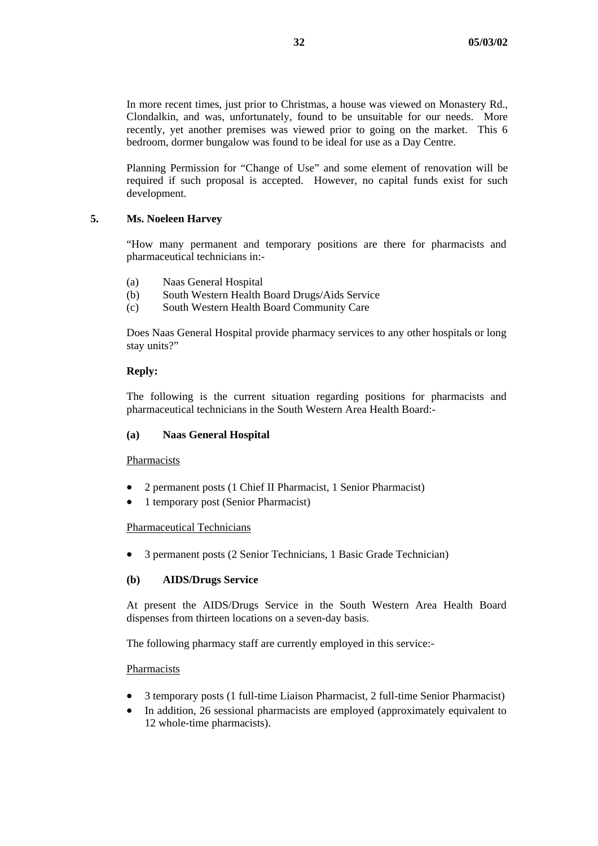In more recent times, just prior to Christmas, a house was viewed on Monastery Rd., Clondalkin, and was, unfortunately, found to be unsuitable for our needs. More recently, yet another premises was viewed prior to going on the market. This 6 bedroom, dormer bungalow was found to be ideal for use as a Day Centre.

Planning Permission for "Change of Use" and some element of renovation will be required if such proposal is accepted. However, no capital funds exist for such development.

## **5. Ms. Noeleen Harvey**

"How many permanent and temporary positions are there for pharmacists and pharmaceutical technicians in:-

- (a) Naas General Hospital
- (b) South Western Health Board Drugs/Aids Service
- (c) South Western Health Board Community Care

Does Naas General Hospital provide pharmacy services to any other hospitals or long stay units?"

### **Reply:**

The following is the current situation regarding positions for pharmacists and pharmaceutical technicians in the South Western Area Health Board:-

### **(a) Naas General Hospital**

#### Pharmacists

- 2 permanent posts (1 Chief II Pharmacist, 1 Senior Pharmacist)
- 1 temporary post (Senior Pharmacist)

#### Pharmaceutical Technicians

• 3 permanent posts (2 Senior Technicians, 1 Basic Grade Technician)

### **(b) AIDS/Drugs Service**

At present the AIDS/Drugs Service in the South Western Area Health Board dispenses from thirteen locations on a seven-day basis.

The following pharmacy staff are currently employed in this service:-

#### Pharmacists

- 3 temporary posts (1 full-time Liaison Pharmacist, 2 full-time Senior Pharmacist)
- In addition, 26 sessional pharmacists are employed (approximately equivalent to 12 whole-time pharmacists).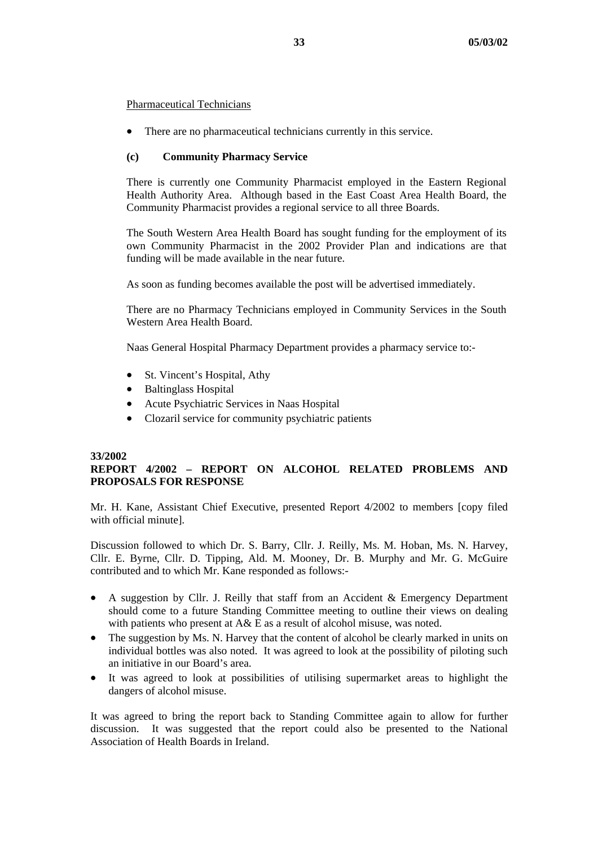### Pharmaceutical Technicians

• There are no pharmaceutical technicians currently in this service.

### **(c) Community Pharmacy Service**

There is currently one Community Pharmacist employed in the Eastern Regional Health Authority Area. Although based in the East Coast Area Health Board, the Community Pharmacist provides a regional service to all three Boards.

The South Western Area Health Board has sought funding for the employment of its own Community Pharmacist in the 2002 Provider Plan and indications are that funding will be made available in the near future.

As soon as funding becomes available the post will be advertised immediately.

There are no Pharmacy Technicians employed in Community Services in the South Western Area Health Board.

Naas General Hospital Pharmacy Department provides a pharmacy service to:-

- St. Vincent's Hospital, Athy
- Baltinglass Hospital
- Acute Psychiatric Services in Naas Hospital
- Clozaril service for community psychiatric patients

#### **33/2002**

# **REPORT 4/2002 – REPORT ON ALCOHOL RELATED PROBLEMS AND PROPOSALS FOR RESPONSE**

Mr. H. Kane, Assistant Chief Executive, presented Report 4/2002 to members [copy filed with official minute].

Discussion followed to which Dr. S. Barry, Cllr. J. Reilly, Ms. M. Hoban, Ms. N. Harvey, Cllr. E. Byrne, Cllr. D. Tipping, Ald. M. Mooney, Dr. B. Murphy and Mr. G. McGuire contributed and to which Mr. Kane responded as follows:-

- $\bullet$ A suggestion by Cllr. J. Reilly that staff from an Accident & Emergency Department should come to a future Standing Committee meeting to outline their views on dealing with patients who present at A& E as a result of alcohol misuse, was noted.
- The suggestion by Ms. N. Harvey that the content of alcohol be clearly marked in units on individual bottles was also noted. It was agreed to look at the possibility of piloting such an initiative in our Board's area.
- It was agreed to look at possibilities of utilising supermarket areas to highlight the dangers of alcohol misuse.

It was agreed to bring the report back to Standing Committee again to allow for further discussion. It was suggested that the report could also be presented to the National Association of Health Boards in Ireland.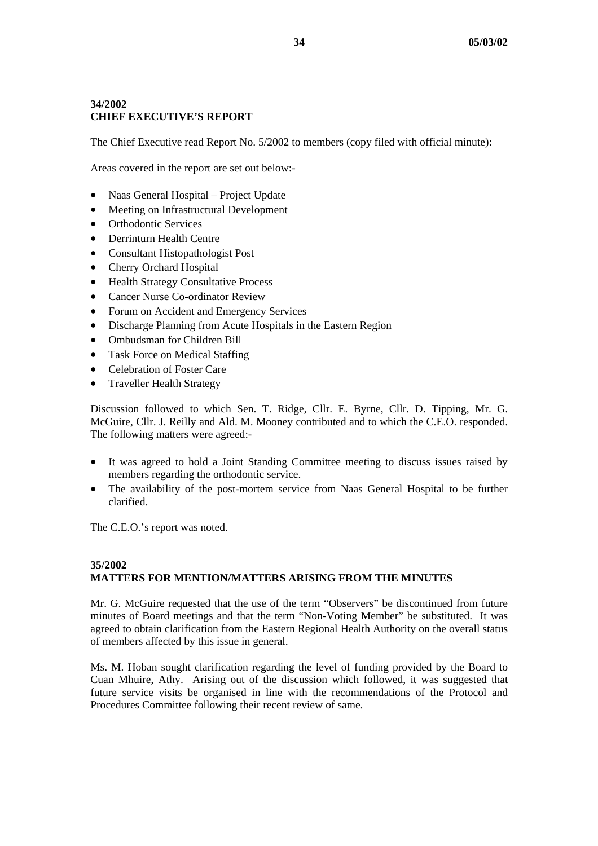## **34/2002 CHIEF EXECUTIVE'S REPORT**

The Chief Executive read Report No. 5/2002 to members (copy filed with official minute):

Areas covered in the report are set out below:-

- Naas General Hospital – Project Update
- Meeting on Infrastructural Development
- Orthodontic Services
- Derrinturn Health Centre
- Consultant Histopathologist Post
- Cherry Orchard Hospital
- Health Strategy Consultative Process
- Cancer Nurse Co-ordinator Review
- Forum on Accident and Emergency Services
- Discharge Planning from Acute Hospitals in the Eastern Region
- Ombudsman for Children Bill
- Task Force on Medical Staffing
- Celebration of Foster Care
- Traveller Health Strategy

Discussion followed to which Sen. T. Ridge, Cllr. E. Byrne, Cllr. D. Tipping, Mr. G. McGuire, Cllr. J. Reilly and Ald. M. Mooney contributed and to which the C.E.O. responded. The following matters were agreed:-

- $\bullet$ It was agreed to hold a Joint Standing Committee meeting to discuss issues raised by members regarding the orthodontic service.
- The availability of the post-mortem service from Naas General Hospital to be further clarified.

The C.E.O.'s report was noted.

## **35/2002 MATTERS FOR MENTION/MATTERS ARISING FROM THE MINUTES**

Mr. G. McGuire requested that the use of the term "Observers" be discontinued from future minutes of Board meetings and that the term "Non-Voting Member" be substituted. It was agreed to obtain clarification from the Eastern Regional Health Authority on the overall status of members affected by this issue in general.

Ms. M. Hoban sought clarification regarding the level of funding provided by the Board to Cuan Mhuire, Athy. Arising out of the discussion which followed, it was suggested that future service visits be organised in line with the recommendations of the Protocol and Procedures Committee following their recent review of same.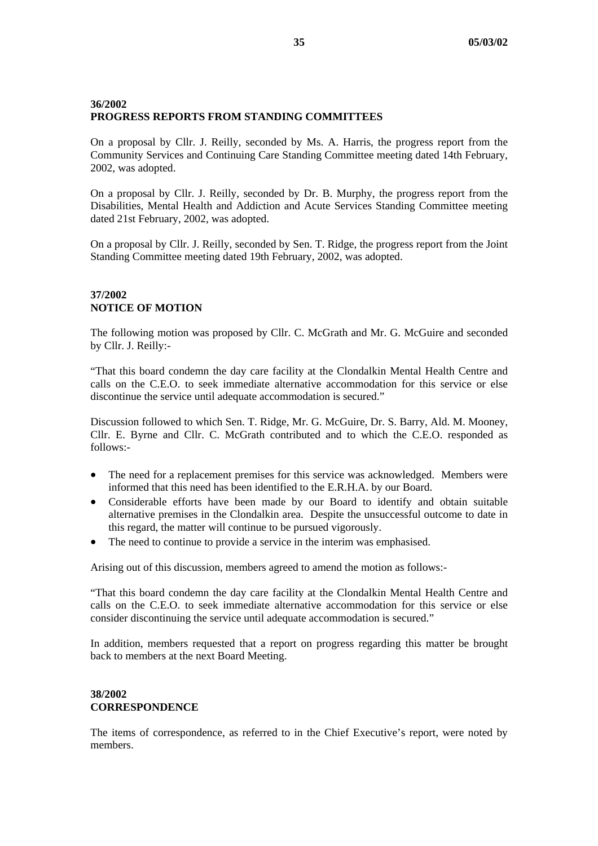### **36/2002 PROGRESS REPORTS FROM STANDING COMMITTEES**

On a proposal by Cllr. J. Reilly, seconded by Ms. A. Harris, the progress report from the Community Services and Continuing Care Standing Committee meeting dated 14th February, 2002, was adopted.

On a proposal by Cllr. J. Reilly, seconded by Dr. B. Murphy, the progress report from the Disabilities, Mental Health and Addiction and Acute Services Standing Committee meeting dated 21st February, 2002, was adopted.

On a proposal by Cllr. J. Reilly, seconded by Sen. T. Ridge, the progress report from the Joint Standing Committee meeting dated 19th February, 2002, was adopted.

## **37/2002 NOTICE OF MOTION**

The following motion was proposed by Cllr. C. McGrath and Mr. G. McGuire and seconded by Cllr. J. Reilly:-

"That this board condemn the day care facility at the Clondalkin Mental Health Centre and calls on the C.E.O. to seek immediate alternative accommodation for this service or else discontinue the service until adequate accommodation is secured."

Discussion followed to which Sen. T. Ridge, Mr. G. McGuire, Dr. S. Barry, Ald. M. Mooney, Cllr. E. Byrne and Cllr. C. McGrath contributed and to which the C.E.O. responded as follows:-

- The need for a replacement premises for this service was acknowledged. Members were informed that this need has been identified to the E.R.H.A. by our Board.
- Considerable efforts have been made by our Board to identify and obtain suitable alternative premises in the Clondalkin area. Despite the unsuccessful outcome to date in this regard, the matter will continue to be pursued vigorously.
- The need to continue to provide a service in the interim was emphasised.

Arising out of this discussion, members agreed to amend the motion as follows:-

"That this board condemn the day care facility at the Clondalkin Mental Health Centre and calls on the C.E.O. to seek immediate alternative accommodation for this service or else consider discontinuing the service until adequate accommodation is secured."

In addition, members requested that a report on progress regarding this matter be brought back to members at the next Board Meeting.

# **38/2002 CORRESPONDENCE**

The items of correspondence, as referred to in the Chief Executive's report, were noted by members.